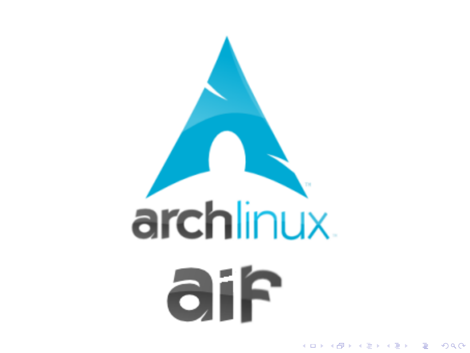

 $2Q$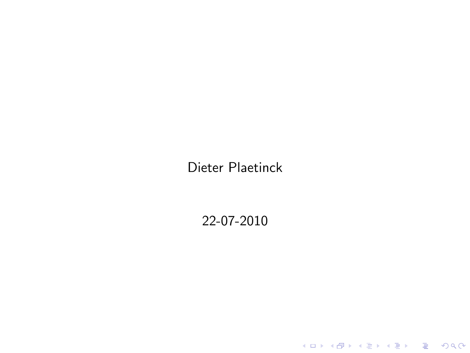Dieter Plaetinck

22-07-2010

K ロ ▶ K @ ▶ K 할 ▶ K 할 ▶ ... 할 ... 9 Q Q ·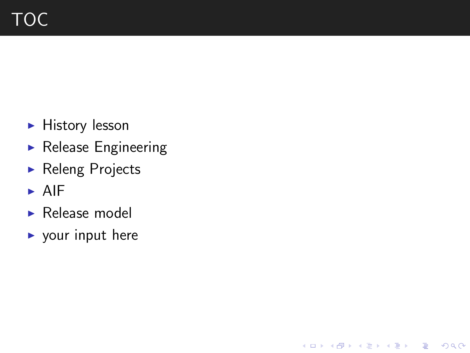- $\blacktriangleright$  History lesson
- $\blacktriangleright$  Release Engineering
- $\blacktriangleright$  Releng Projects
- $\triangleright$  AIF
- $\blacktriangleright$  Release model
- $\blacktriangleright$  your input here

K ロ ▶ K @ ▶ K 할 > K 할 > 1 할 > 1 ⊙ Q Q ^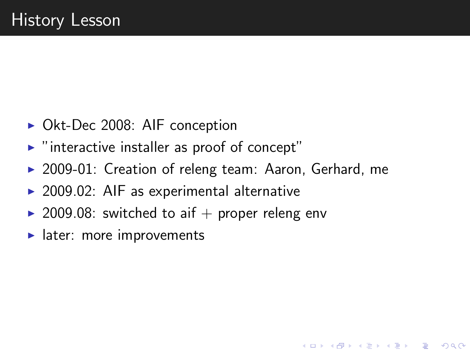- $\triangleright$  Okt-Dec 2008: AIF conception
- $\triangleright$  "interactive installer as proof of concept"
- ▶ 2009-01: Creation of releng team: Aaron, Gerhard, me

**KORK ERKER ADE YOUR** 

- $\triangleright$  2009.02: AIF as experimental alternative
- ▶ 2009.08: switched to aif + proper releng env
- $\blacktriangleright$  later: more improvements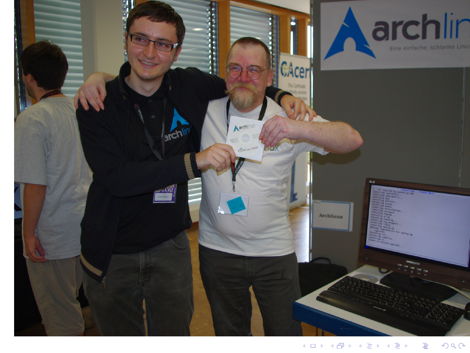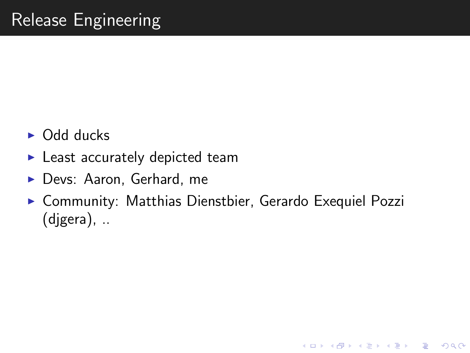- $\triangleright$  Odd ducks
- $\blacktriangleright$  Least accurately depicted team
- $\blacktriangleright$  Devs: Aaron, Gerhard, me
- ▶ Community: Matthias Dienstbier, Gerardo Exequiel Pozzi (djgera), ..

K ロ ▶ K @ ▶ K 할 ▶ K 할 ▶ 이 할 → 9 Q @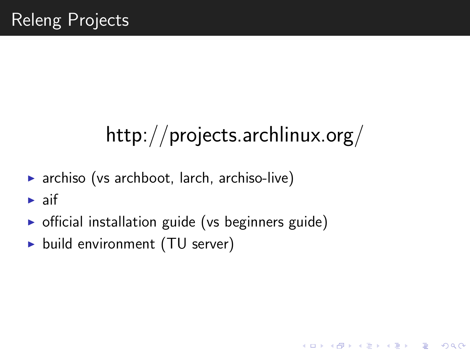# http://projects.archlinux.org/

**KORK ERKER ADE YOUR** 

- $\triangleright$  archiso (vs archboot, larch, archiso-live)
- $\triangleright$  aif
- $\triangleright$  official installation guide (vs beginners guide)
- $\blacktriangleright$  build environment (TU server)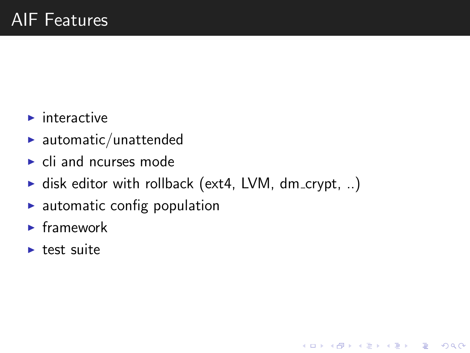- $\blacktriangleright$  interactive
- $\blacktriangleright$  automatic/unattended
- $\blacktriangleright$  cli and ncurses mode
- $\blacktriangleright$  disk editor with rollback (ext4, LVM, dm\_crypt, ..)

K ロ ▶ K @ ▶ K 할 ▶ K 할 ▶ 이 할 → 9 Q @

- $\blacktriangleright$  automatic config population
- $\blacktriangleright$  framework
- $\blacktriangleright$  test suite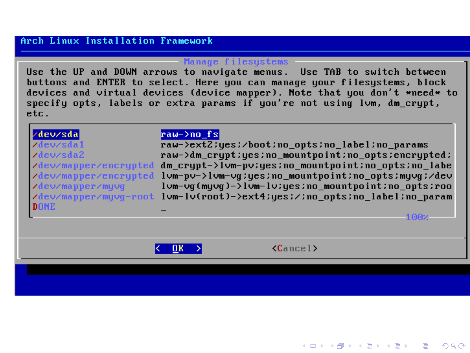## Arch Linux Installation Framework

#### Manage filesystems

Use the UP and DOWN arrows to navigate menus. Use TAB to switch between buttons and ENTER to select. Here you can manage your filesystems, block devices and virtual devices (device mapper). Note that you don't \*need\* to specify opts, labels or extra params if you're not using lvm, dm\_crypt,  $etc.$ 

#### /dev/sda raw->no fs  $7$ dev/sda1 raw->ext2;ues;/boot;no opts;no label;no params  $d$ ev/sda2 raw->dm crupt; yes; no mountpoint; no opts; encrypted; /dev/mapper/encrupted dm\_crupt->1vm-pv;ues;no\_mountpoint;no\_opts;no\_labe /dev/mapper/encrypted lvm-pv->lvm-vg;yes;no\_mountpoint;no\_opts;myvg;/dev lum-ug(myug)->lum-lu; yes; no mountpoint; no opts; roo /dev/mapper/myvg /dev/mapper/myvg-root lvm-lv(root)->ext4; yes; /; no\_opts; no\_label; no\_param **DONE** 100%  $\langle$ Cancel>  $0<sub>K</sub>$

**KOD KARD KED KED E YORA**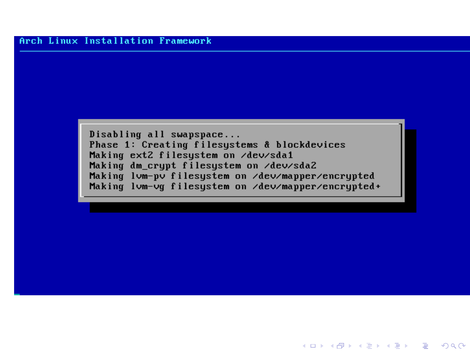### Arch Linux Installation Framework

Disabling all swapspace... Phase 1: Creating filesystems & blockdevices Making ext2 filesystem on /dev/sda1 Making dm\_crypt filesystem on /dev/sda2 Making lum-pu filesystem on /deu/mapper/encrypted Making lum-ug filesystem on /deu/mapper/encrypted+

K ロ ▶ K @ ▶ K 할 > K 할 > 1 할 > 1 이익어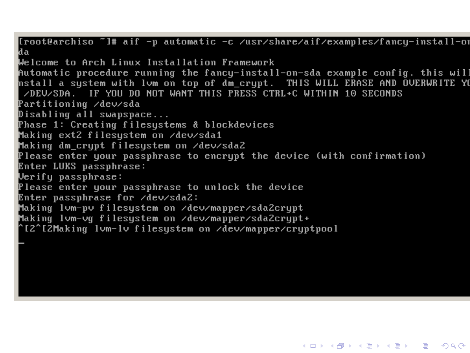[root@archiso ~]# aif -p automatic -c /usr/share/aif/examples/fancy-install-or ld a

Welcome to Arch Linux Installation Framework Automatic procedure running the fancy-install-on-sda example config. this wil nstall a system with lym on top of dm\_crypt. THIS WILL ERASE AND OVERWRITE YO ∠DEU⁄SDA. IF YOU DO NOT WANT THIS PRESS CTRL+C WITHIN 10 SECONDS Partitioning /dev/sda Disabling all swapspace... Phase 1: Creating filesystems & blockdevices Making ext2 filesystem on /dev/sda1 Making dm crupt filesustem on /dev/sda2 Please enter your passphrase to encrypt the device (with confirmation) Enter LUKS passphrase: Verifu passphrase: Please enter your passphrase to unlock the device Enter passphrase for /dev/sda2: Making lvm-pv filesystem on /dev/mapper/sda2crypt Making lym-yg filesystem on /dev/mapper/sda2crypt+ '[2^[2Making lvm-lv filesystem on /dev/mapper/cryptpool

**KOD KARD KED KED E VOOR**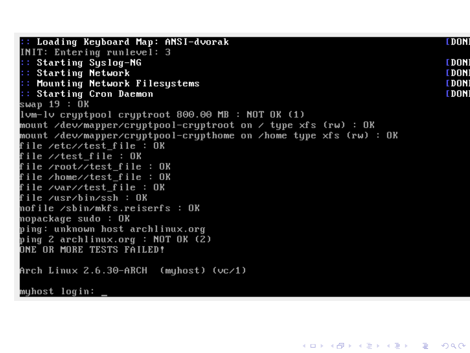:: Loading Keuboard Map: ANSI-dvorak **TDON** INIT: Entering runlevel: 3 :: Starting Suslog-NG **EDON** :: Starting Network **EDON** :: Mounting Network Filesustems **TDON** :: Starting Cron Daemon **EDON** swap 19 : ŌK  $lvm-lv$  cruptpool cruptroot 800.00 MB : NOT OK  $(1)$ mount /dev/mapper/cryptpool-cryptroot on / type xfs (rw) : OK mount /dev/mapper/cruptpool-crupthome on /home tupe xfs (rw): OK file /etc//test file : OK file //test file : OK file /root//test file : OK file /home//test file : OK file /var//test file : OK file zusrzbinzssh : OK nofile /sbin/mkfs.reiserfs : OK nopackage sudo : OK ping: unknown host archlinux.org ping 2 archlinux.org : NOT OK (2) ONE OR MORE TESTS FAILED! Arch Linux 2.6.30-ARCH (myhost) (vc/1) myhost login: \_

**KOD KARD KED KED E YORA**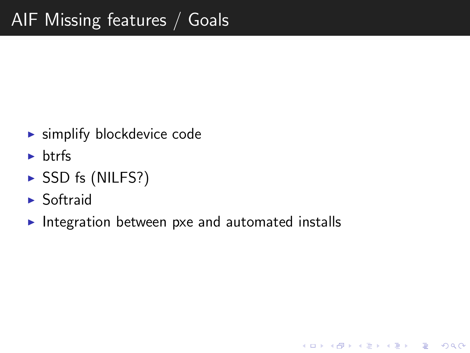- $\blacktriangleright$  simplify blockdevice code
- $\blacktriangleright$  btrfs
- $\triangleright$  SSD fs (NILFS?)
- $\blacktriangleright$  Softraid
- $\triangleright$  Integration between pxe and automated installs

K ロ ▶ K @ ▶ K 할 ▶ K 할 ▶ 이 할 → 9 Q @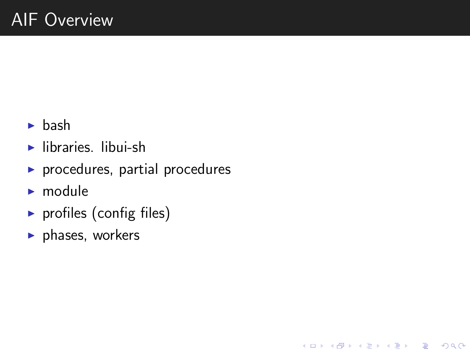- $\blacktriangleright$  bash
- $\blacktriangleright$  libraries. libui-sh
- $\blacktriangleright$  procedures, partial procedures

K ロ ▶ K @ ▶ K 할 > K 할 > 1 할 > 1 이익어

- $\blacktriangleright$  module
- $\blacktriangleright$  profiles (config files)
- $\blacktriangleright$  phases, workers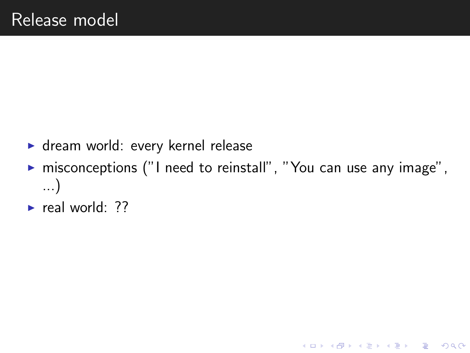- $\blacktriangleright$  dream world: every kernel release
- $\blacktriangleright$  misconceptions ("I need to reinstall", "You can use any image", ...)

K ロ ▶ K @ ▶ K 할 > K 할 > 1 할 > 1 이익어

 $\blacktriangleright$  real world: ??